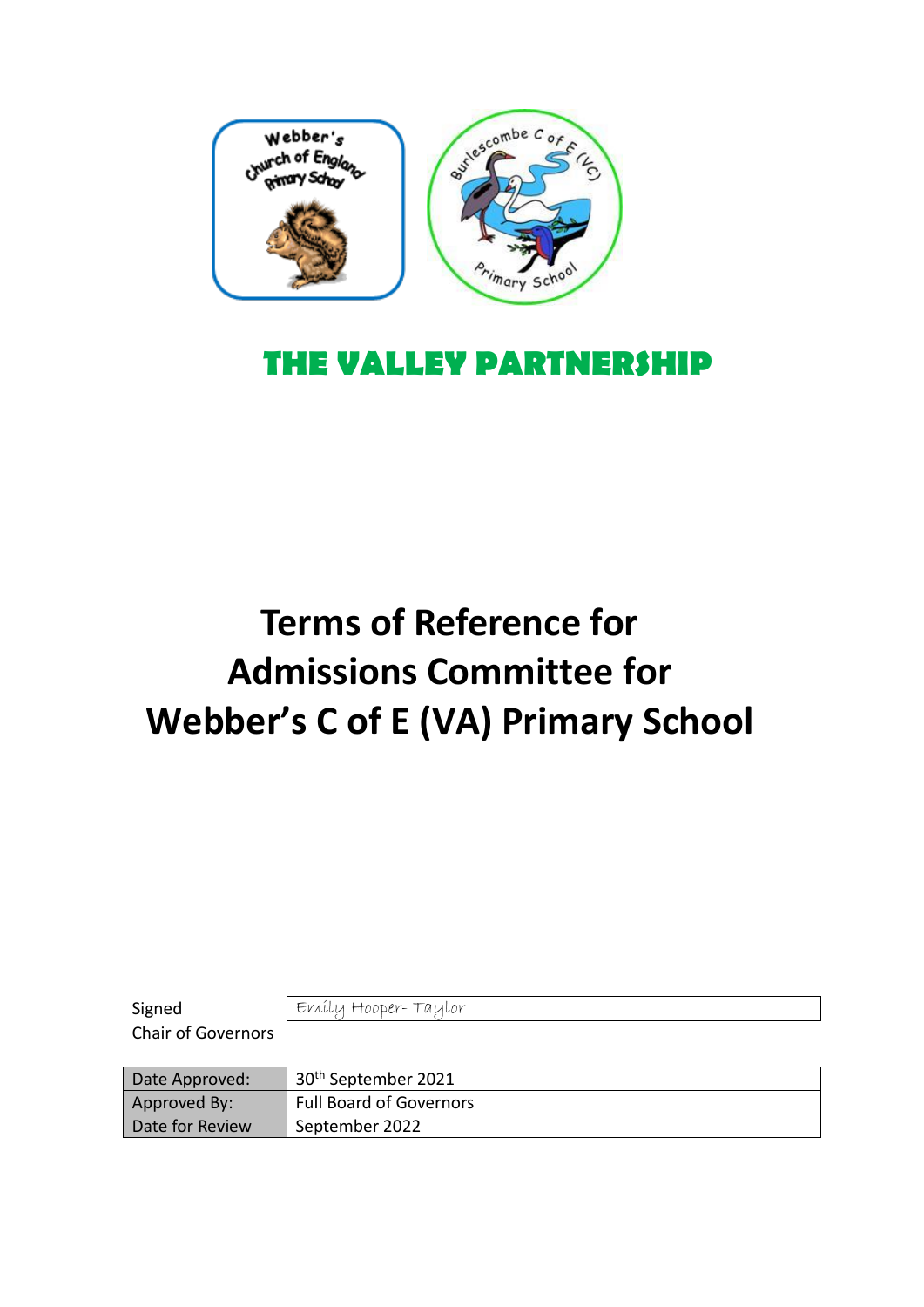

## **THE VALLEY PARTNERSHIP**

## **Terms of Reference for Admissions Committee for Webber's C of E (VA) Primary School**

| Signed                    | Emily Hooper-Taylor             |
|---------------------------|---------------------------------|
| <b>Chair of Governors</b> |                                 |
|                           |                                 |
|                           |                                 |
| Date Approved:            | 30 <sup>th</sup> September 2021 |
| Approved By:              | <b>Full Board of Governors</b>  |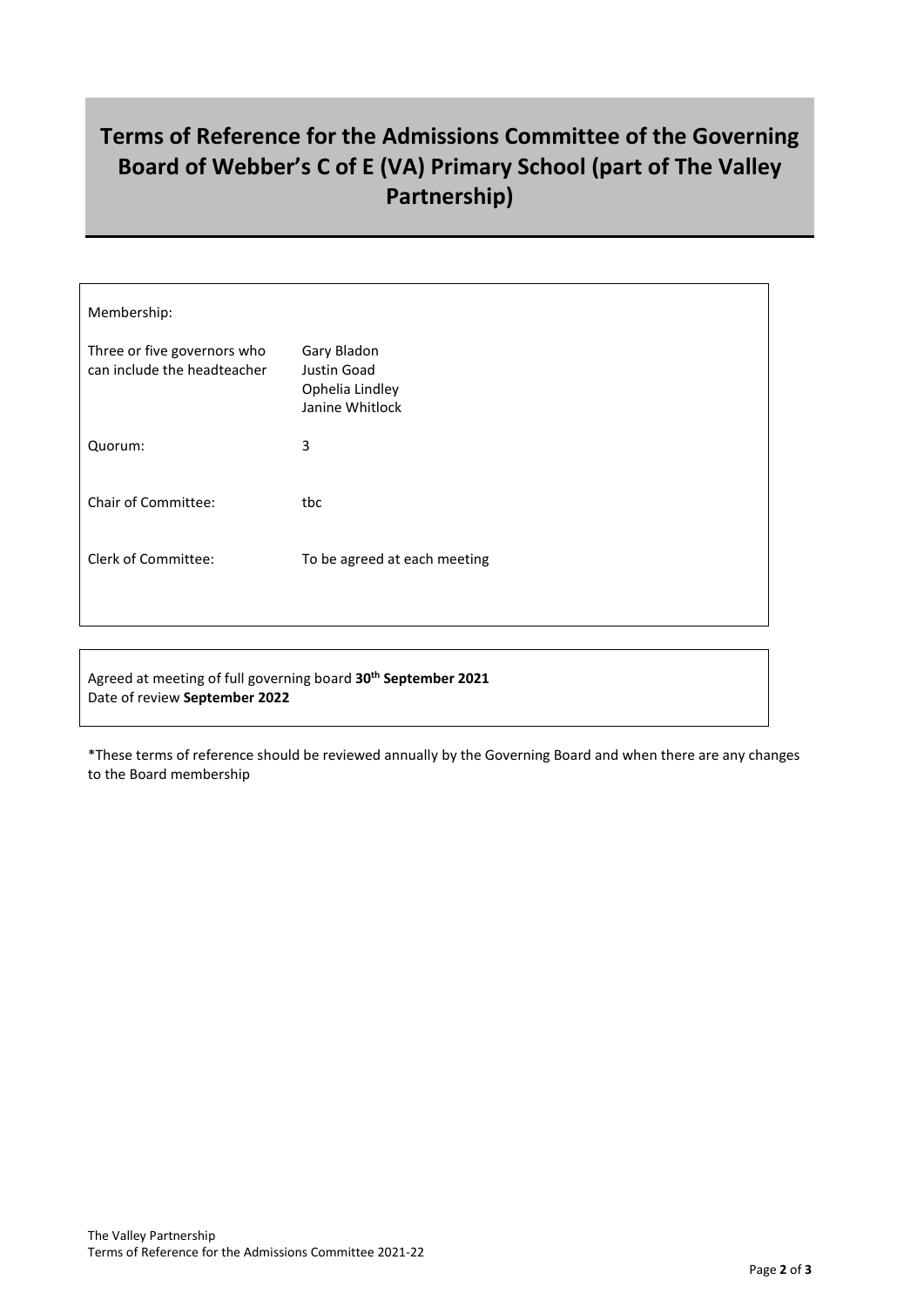## **Terms of Reference for the Admissions Committee of the Governing Board of Webber's C of E (VA) Primary School (part of The Valley Partnership)**

| Membership:                                                |                                                                  |
|------------------------------------------------------------|------------------------------------------------------------------|
| Three or five governors who<br>can include the headteacher | Gary Bladon<br>Justin Goad<br>Ophelia Lindley<br>Janine Whitlock |
| Quorum:                                                    | 3                                                                |
| <b>Chair of Committee:</b>                                 | tbc                                                              |
| <b>Clerk of Committee:</b>                                 | To be agreed at each meeting                                     |
|                                                            |                                                                  |

Agreed at meeting of full governing board **30th September 2021** Date of review **September 2022**

\*These terms of reference should be reviewed annually by the Governing Board and when there are any changes to the Board membership